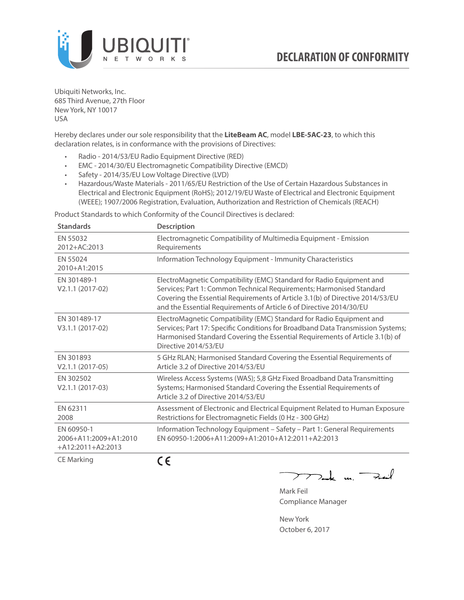

Ubiquiti Networks, Inc. 685 Third Avenue, 27th Floor New York, NY 10017 USA

Hereby declares under our sole responsibility that the **LiteBeam AC**, model **LBE-5AC-23**, to which this declaration relates, is in conformance with the provisions of Directives:

- Radio 2014/53/EU Radio Equipment Directive (RED)
- EMC 2014/30/EU Electromagnetic Compatibility Directive (EMCD)
- Safety 2014/35/EU Low Voltage Directive (LVD)
- Hazardous/Waste Materials 2011/65/EU Restriction of the Use of Certain Hazardous Substances in Electrical and Electronic Equipment (RoHS); 2012/19/EU Waste of Electrical and Electronic Equipment (WEEE); 1907/2006 Registration, Evaluation, Authorization and Restriction of Chemicals (REACH)

Product Standards to which Conformity of the Council Directives is declared:

| <b>Standards</b>                                           | Description                                                                                                                                                                                                                                                                                          |
|------------------------------------------------------------|------------------------------------------------------------------------------------------------------------------------------------------------------------------------------------------------------------------------------------------------------------------------------------------------------|
| EN 55032<br>2012+AC:2013                                   | Electromagnetic Compatibility of Multimedia Equipment - Emission<br>Requirements                                                                                                                                                                                                                     |
| EN 55024<br>2010+A1:2015                                   | Information Technology Equipment - Immunity Characteristics                                                                                                                                                                                                                                          |
| EN 301489-1<br>V2.1.1 (2017-02)                            | ElectroMagnetic Compatibility (EMC) Standard for Radio Equipment and<br>Services; Part 1: Common Technical Requirements; Harmonised Standard<br>Covering the Essential Requirements of Article 3.1(b) of Directive 2014/53/EU<br>and the Essential Requirements of Article 6 of Directive 2014/30/EU |
| EN 301489-17<br>V3.1.1 (2017-02)                           | ElectroMagnetic Compatibility (EMC) Standard for Radio Equipment and<br>Services; Part 17: Specific Conditions for Broadband Data Transmission Systems;<br>Harmonised Standard Covering the Essential Requirements of Article 3.1(b) of<br>Directive 2014/53/EU                                      |
| EN 301893<br>$V2.1.1 (2017-05)$                            | 5 GHz RLAN; Harmonised Standard Covering the Essential Requirements of<br>Article 3.2 of Directive 2014/53/EU                                                                                                                                                                                        |
| EN 302502<br>V2.1.1 (2017-03)                              | Wireless Access Systems (WAS); 5,8 GHz Fixed Broadband Data Transmitting<br>Systems; Harmonised Standard Covering the Essential Requirements of<br>Article 3.2 of Directive 2014/53/EU                                                                                                               |
| EN 62311<br>2008                                           | Assessment of Electronic and Electrical Equipment Related to Human Exposure<br>Restrictions for Electromagnetic Fields (0 Hz - 300 GHz)                                                                                                                                                              |
| EN 60950-1<br>2006+A11:2009+A1:2010<br>$+A12:2011+A2:2013$ | Information Technology Equipment - Safety - Part 1: General Requirements<br>EN 60950-1:2006+A11:2009+A1:2010+A12:2011+A2:2013                                                                                                                                                                        |
| CE Marking                                                 | CE                                                                                                                                                                                                                                                                                                   |

 $\sum_{n=1}^{\infty}$  un  $\sum_{n=1}^{\infty}$ 

Mark Feil Compliance Manager

New York October 6, 2017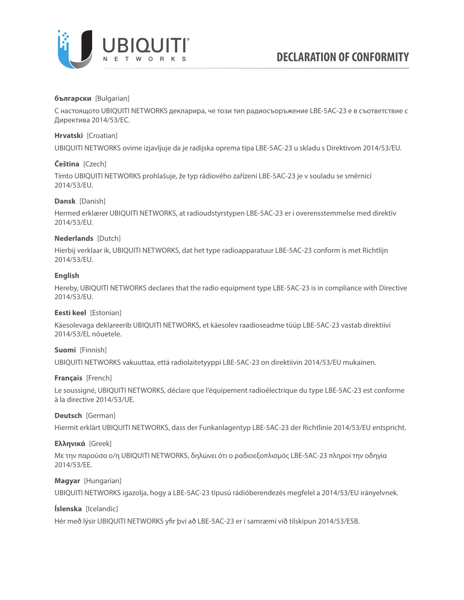

# **български** [Bulgarian]

С настоящото UBIQUITI NETWORKS декларира, че този тип радиосъоръжение LBE-5AC-23 е в съответствие с Директива 2014/53/ЕС.

# **Hrvatski** [Croatian]

UBIQUITI NETWORKS ovime izjavljuje da je radijska oprema tipa LBE-5AC-23 u skladu s Direktivom 2014/53/EU.

# **Čeština** [Czech]

Tímto UBIQUITI NETWORKS prohlašuje, že typ rádiového zařízení LBE-5AC-23 je v souladu se směrnicí 2014/53/EU.

## **Dansk** [Danish]

Hermed erklærer UBIQUITI NETWORKS, at radioudstyrstypen LBE-5AC-23 er i overensstemmelse med direktiv 2014/53/EU.

## **Nederlands** [Dutch]

Hierbij verklaar ik, UBIQUITI NETWORKS, dat het type radioapparatuur LBE-5AC-23 conform is met Richtlijn 2014/53/EU.

### **English**

Hereby, UBIQUITI NETWORKS declares that the radio equipment type LBE-5AC-23 is in compliance with Directive 2014/53/EU.

## **Eesti keel** [Estonian]

Käesolevaga deklareerib UBIQUITI NETWORKS, et käesolev raadioseadme tüüp LBE-5AC-23 vastab direktiivi 2014/53/EL nõuetele.

# **Suomi** [Finnish]

UBIQUITI NETWORKS vakuuttaa, että radiolaitetyyppi LBE-5AC-23 on direktiivin 2014/53/EU mukainen.

## **Français** [French]

Le soussigné, UBIQUITI NETWORKS, déclare que l'équipement radioélectrique du type LBE-5AC-23 est conforme à la directive 2014/53/UE.

## **Deutsch** [German]

Hiermit erklärt UBIQUITI NETWORKS, dass der Funkanlagentyp LBE-5AC-23 der Richtlinie 2014/53/EU entspricht.

## **Ελληνικά** [Greek]

Με την παρούσα ο/η UBIQUITI NETWORKS, δηλώνει ότι ο ραδιοεξοπλισμός LBE-5AC-23 πληροί την οδηγία 2014/53/ΕΕ.

## **Magyar** [Hungarian]

UBIQUITI NETWORKS igazolja, hogy a LBE-5AC-23 típusú rádióberendezés megfelel a 2014/53/EU irányelvnek.

## **Íslenska** [Icelandic]

Hér með lýsir UBIQUITI NETWORKS yfir því að LBE-5AC-23 er í samræmi við tilskipun 2014/53/ESB.